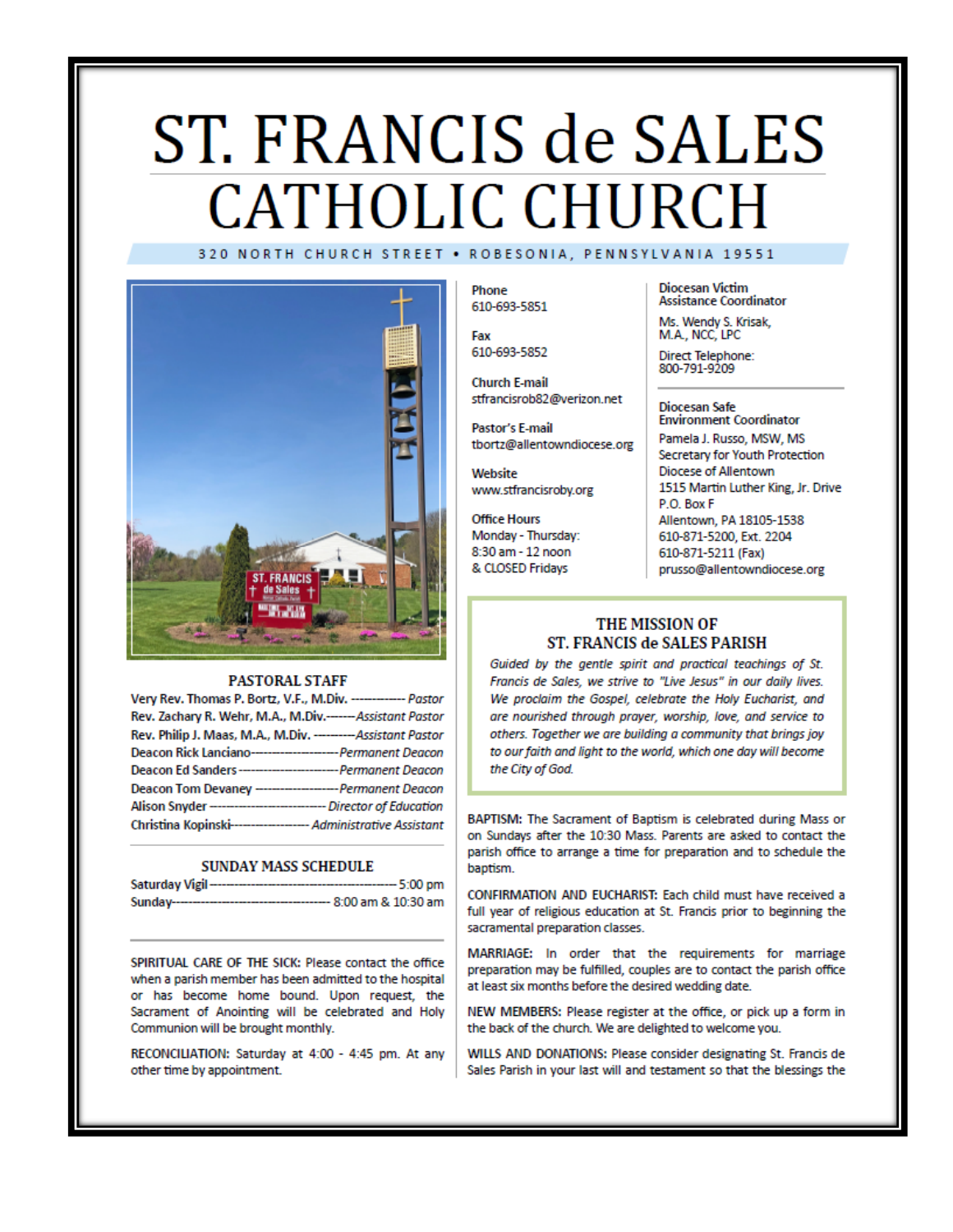# ST. FRANCIS de SALES **CATHOLIC CHURCH** 320 NORTH CHURCH STREET . ROBESONIA, PENNSYLVANIA 19551



#### **PASTORAL STAFF**

| Very Rev. Thomas P. Bortz, V.F., M.Div. ------------- Pastor        |  |
|---------------------------------------------------------------------|--|
| Rev. Zachary R. Wehr, M.A., M.Div.------Assistant Pastor            |  |
| Rev. Philip J. Maas, M.A., M.Div. --------- Assistant Pastor        |  |
| Deacon Rick Lanciano----------------------- Permanent Deacon        |  |
| Deacon Ed Sanders---------------------------- Permanent Deacon      |  |
| Deacon Tom Devaney --------------------- Permanent Deacon           |  |
| Alison Snyder ------------------------------- Director of Education |  |
| Christina Kopinski------------------- Administrative Assistant      |  |

#### **SUNDAY MASS SCHEDULE**

| Saturday Vigil-<br>------------------------ | ---- 5:00 pm           |
|---------------------------------------------|------------------------|
| Sunday--------------------------            | --- 8:00 am & 10:30 am |

SPIRITUAL CARE OF THE SICK: Please contact the office when a parish member has been admitted to the hospital or has become home bound. Upon request, the Sacrament of Anointing will be celebrated and Holy Communion will be brought monthly.

RECONCILIATION: Saturday at 4:00 - 4:45 pm. At any other time by appointment.

Phone 610-693-5851

Fax 610-693-5852

**Church E-mail** stfrancisrob82@verizon.net

Pastor's E-mail tbortz@allentowndiocese.org

Website www.stfrancisroby.org

**Office Hours** Monday - Thursday: 8:30 am - 12 noon & CLOSED Fridays

**Diocesan Victim Assistance Coordinator** 

Ms. Wendy S. Krisak, M.A., NCC, LPC

Direct Telephone:<br>800-791-9209

#### **Diocesan Safe Environment Coordinator**

Pamela J. Russo, MSW, MS Secretary for Youth Protection Diocese of Allentown 1515 Martin Luther King, Jr. Drive P.O. Box F Allentown, PA 18105-1538 610-871-5200, Ext. 2204 610-871-5211 (Fax) prusso@allentowndiocese.org

### THE MISSION OF ST. FRANCIS de SALES PARISH

Guided by the gentle spirit and practical teachings of St. Francis de Sales, we strive to "Live Jesus" in our daily lives. We proclaim the Gospel, celebrate the Holy Eucharist, and are nourished through prayer, worship, love, and service to others. Together we are building a community that brings joy to our faith and light to the world, which one day will become the City of God.

BAPTISM: The Sacrament of Baptism is celebrated during Mass or on Sundays after the 10:30 Mass. Parents are asked to contact the parish office to arrange a time for preparation and to schedule the baptism.

CONFIRMATION AND EUCHARIST: Each child must have received a full year of religious education at St. Francis prior to beginning the sacramental preparation classes.

MARRIAGE: In order that the requirements for marriage preparation may be fulfilled, couples are to contact the parish office at least six months before the desired wedding date.

NEW MEMBERS: Please register at the office, or pick up a form in the back of the church. We are delighted to welcome you.

WILLS AND DONATIONS: Please consider designating St. Francis de Sales Parish in your last will and testament so that the blessings the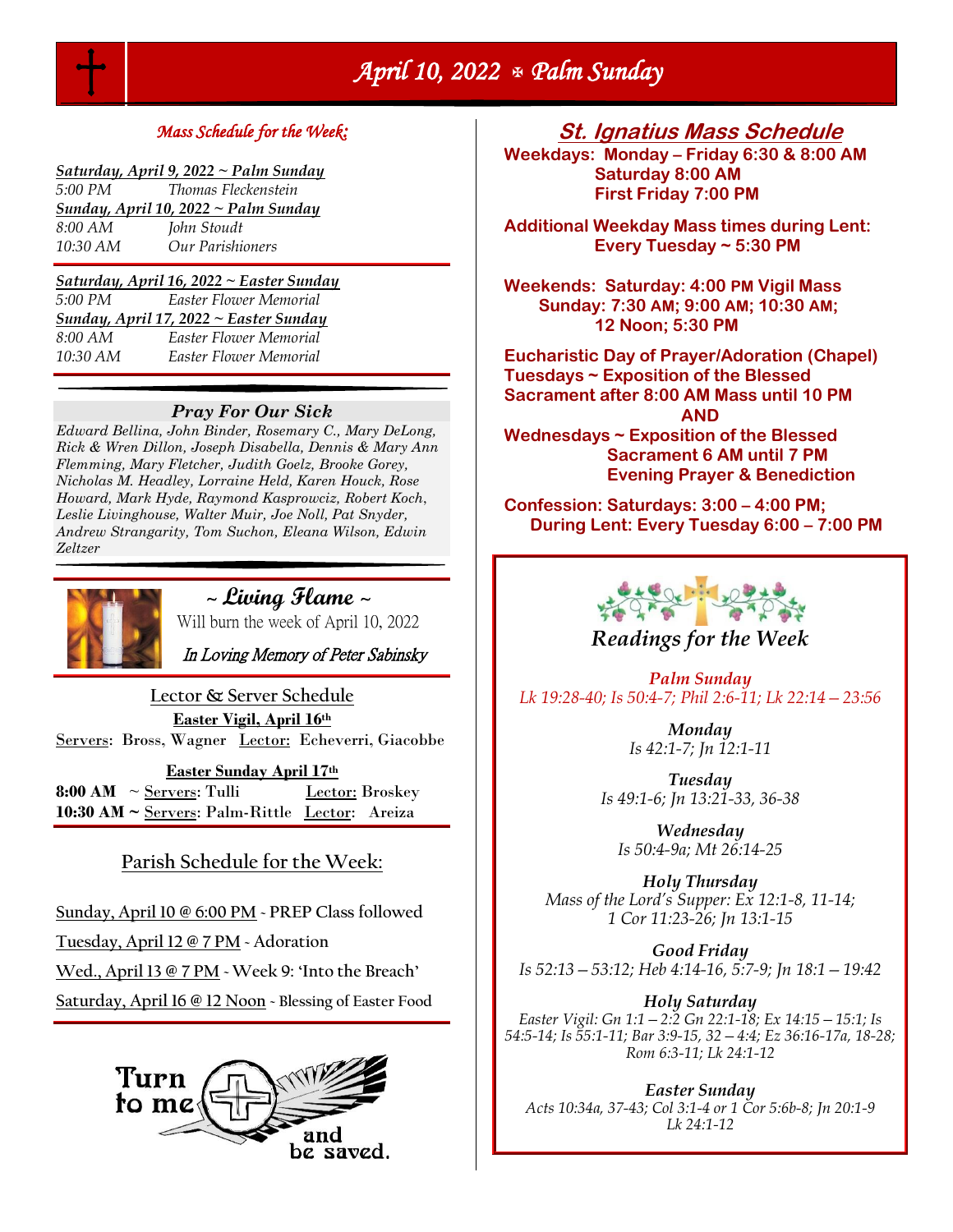

## *Mass Schedule for the Week:*

| Saturday, April 9, 2022 ~ Palm Sunday |
|---------------------------------------|
|---------------------------------------|

| 5:00 PM                              | <i>Thomas Fleckenstein</i> |  |
|--------------------------------------|----------------------------|--|
| Sunday, April 10, 2022 ~ Palm Sunday |                            |  |
| 8:00 AM                              | John Stoudt                |  |
| 10:30 AM                             | Our Parishioners           |  |

*Saturday, April 16, 2022 ~ Easter Sunday 5:00 PM Easter Flower Memorial Sunday, April 17, 2022 ~ Easter Sunday 8:00 AM Easter Flower Memorial 10:30 AM Easter Flower Memorial* 

#### *Pray For Our Sick*

*Edward Bellina, John Binder, Rosemary C., Mary DeLong, Rick & Wren Dillon, Joseph Disabella, Dennis & Mary Ann Flemming, Mary Fletcher, Judith Goelz, Brooke Gorey, Nicholas M. Headley, Lorraine Held, Karen Houck, Rose Howard, Mark Hyde, Raymond Kasprowciz, Robert Koch*, *Leslie Livinghouse, Walter Muir, Joe Noll, Pat Snyder, Andrew Strangarity, Tom Suchon, Eleana Wilson, Edwin Zeltzer*



<sup>~</sup>**Living Flame** <sup>~</sup>

Will burn the week of April 10, 2022

In Loving Memory of Peter Sabinsky

**Lector & Server Schedule Easter Vigil, April 16th** Servers: Bross, Wagner Lector: Echeverri, Giacobbe

**Easter Sunday April 17th 8:00 AM**  $\sim$  <u>Servers</u>: Tulli Lector: Broskey **10:30 AM ~** Servers: Palm-Rittle Lector: Areiza

## **Parish Schedule for the Week:**

**Sunday, April 10 @ 6:00 PM ~ PREP Class followed** 

**Tuesday, April 12 @ 7 PM ~ Adoration**

**Wed., April 13 @ 7 PM ~ Week 9: 'Into the Breach'** 

**Saturday, April 16 @ 12 Noon ~ Blessing of Easter Food**



**St. Ignatius Mass Schedule**

**Weekdays: Monday – Friday 6:30 & 8:00 AM Saturday 8:00 AM First Friday 7:00 PM** 

**Additional Weekday Mass times during Lent: Every Tuesday ~ 5:30 PM** 

**Weekends: Saturday: 4:00 PM Vigil Mass Sunday: 7:30 AM; 9:00 AM; 10:30 AM; 12 Noon; 5:30 PM** 

**Eucharistic Day of Prayer/Adoration (Chapel) Tuesdays ~ Exposition of the Blessed Sacrament after 8:00 AM Mass until 10 PM AND Wednesdays ~ Exposition of the Blessed Sacrament 6 AM until 7 PM Evening Prayer & Benediction**

**Confession: Saturdays: 3:00 – 4:00 PM; During Lent: Every Tuesday 6:00 – 7:00 PM**



*Palm Sunday Lk 19:28-40; Is 50:4-7; Phil 2:6-11; Lk 22:14—23:56*

> *Monday Is 42:1-7; Jn 12:1-11*

*Tuesday Is 49:1-6; Jn 13:21-33, 36-38*

*Wednesday Is 50:4-9a; Mt 26:14-25*

*Holy Thursday Mass of the Lord's Supper: Ex 12:1-8, 11-14; 1 Cor 11:23-26; Jn 13:1-15*

*Good Friday Is 52:13—53:12; Heb 4:14-16, 5:7-9; Jn 18:1—19:42*

*Holy Saturday Easter Vigil: Gn 1:1—2:2 Gn 22:1-18; Ex 14:15—15:1; Is 54:5-14; Is 55:1-11; Bar 3:9-15, 32—4:4; Ez 36:16-17a, 18-28; Rom 6:3-11; Lk 24:1-12*

*Easter Sunday Acts 10:34a, 37-43; Col 3:1-4 or 1 Cor 5:6b-8; Jn 20:1-9 Lk 24:1-12*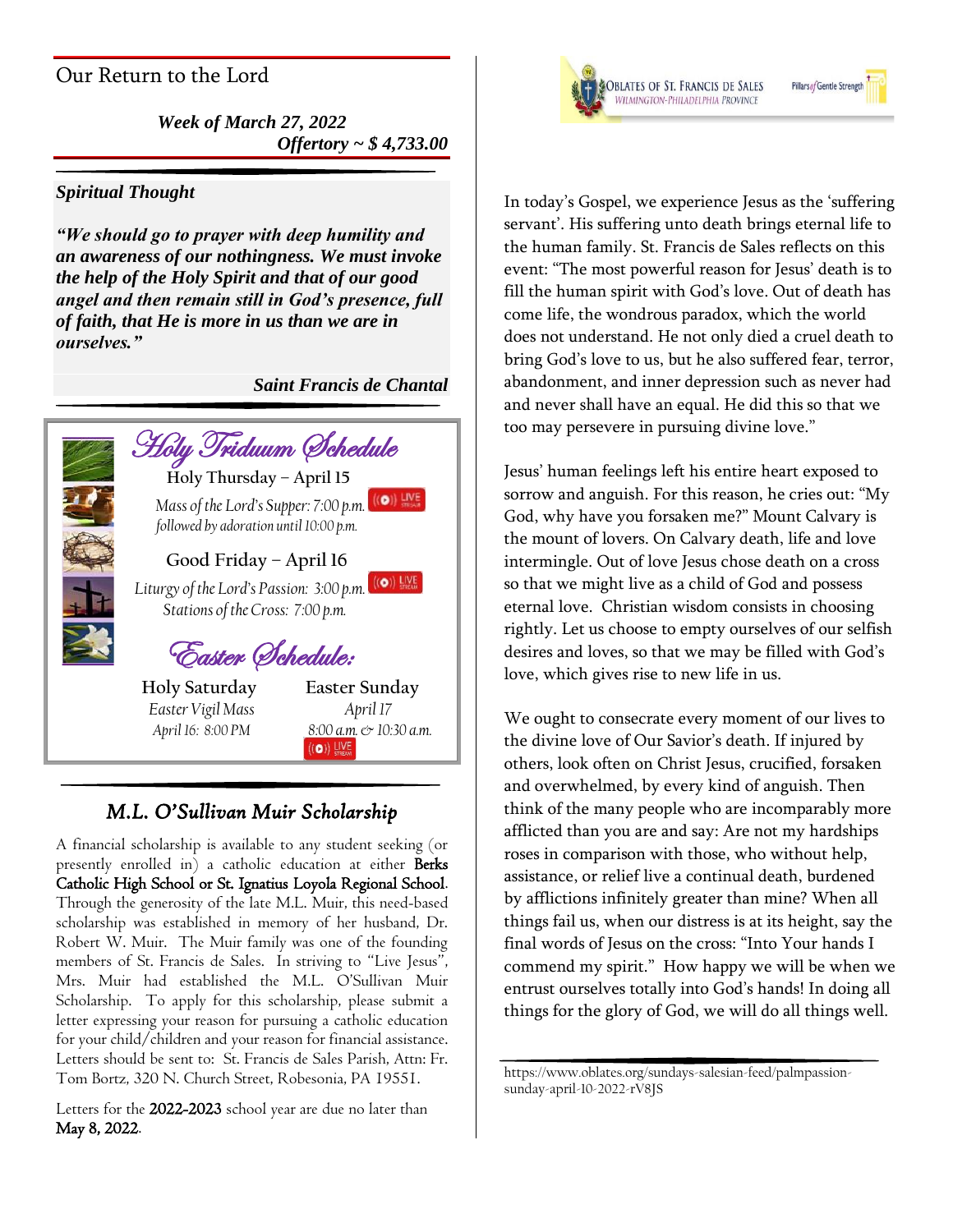# Our Return to the Lord

*Week of March 27, 2022 Offertory ~ \$ 4,733.00*

## *Spiritual Thought*

*"We should go to prayer with deep humility and an awareness of our nothingness. We must invoke the help of the Holy Spirit and that of our good angel and then remain still in God's presence, full of faith, that He is more in us than we are in ourselves."* 

*Saint Francis de Chantal*



# *M.L. O'Sullivan Muir Scholarship*

A financial scholarship is available to any student seeking (or presently enrolled in) a catholic education at either Berks Catholic High School or St. Ignatius Loyola Regional School. Through the generosity of the late M.L. Muir, this need-based scholarship was established in memory of her husband, Dr. Robert W. Muir. The Muir family was one of the founding members of St. Francis de Sales. In striving to "Live Jesus", Mrs. Muir had established the M.L. O'Sullivan Muir Scholarship. To apply for this scholarship, please submit a letter expressing your reason for pursuing a catholic education for your child/children and your reason for financial assistance. Letters should be sent to: St. Francis de Sales Parish, Attn: Fr. Tom Bortz, 320 N. Church Street, Robesonia, PA 19551.

Letters for the 2022-2023 school year are due no later than May 8, 2022.



Pillars of Gentle Streng

In today's Gospel, we experience Jesus as the 'suffering servant'. His suffering unto death brings eternal life to the human family. St. Francis de Sales reflects on this event: "The most powerful reason for Jesus' death is to fill the human spirit with God's love. Out of death has come life, the wondrous paradox, which the world does not understand. He not only died a cruel death to bring God's love to us, but he also suffered fear, terror, abandonment, and inner depression such as never had and never shall have an equal. He did this so that we too may persevere in pursuing divine love."

Jesus' human feelings left his entire heart exposed to sorrow and anguish. For this reason, he cries out: "My God, why have you forsaken me?" Mount Calvary is the mount of lovers. On Calvary death, life and love intermingle. Out of love Jesus chose death on a cross so that we might live as a child of God and possess eternal love. Christian wisdom consists in choosing rightly. Let us choose to empty ourselves of our selfish desires and loves, so that we may be filled with God's love, which gives rise to new life in us.

We ought to consecrate every moment of our lives to the divine love of Our Savior's death. If injured by others, look often on Christ Jesus, crucified, forsaken and overwhelmed, by every kind of anguish. Then think of the many people who are incomparably more afflicted than you are and say: Are not my hardships roses in comparison with those, who without help, assistance, or relief live a continual death, burdened by afflictions infinitely greater than mine? When all things fail us, when our distress is at its height, say the final words of Jesus on the cross: "Into Your hands I commend my spirit." How happy we will be when we entrust ourselves totally into God's hands! In doing all things for the glory of God, we will do all things well.

https://www.oblates.org/sundays-salesian-feed/palmpassionsunday-april-10-2022-rV8JS